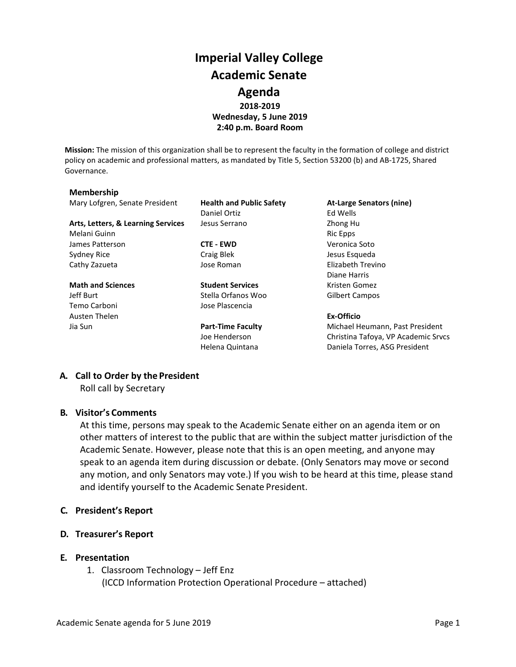## **Imperial Valley College Academic Senate Agenda 2018-2019 Wednesday, 5 June 2019 2:40 p.m. Board Room**

**Mission:** The mission of this organization shall be to represent the faculty in the formation of college and district policy on academic and professional matters, as mandated by Title 5, Section 53200 (b) and AB-1725, Shared Governance.

#### **Membership**

Mary Lofgren, Senate President **Health and Public Safety At-Large Senators (nine)**

Arts, Letters, & Learning Services Jesus Serrano **Zhong Human** Zhong Human Zhong Human Zhong Human Zhong Human Zhong Human Zhong Human Zhong Human Zhong Human Zhong Human Zhong Human Zhong Human Zhong Human Zhong Human Zho Melani Guinn **Ric Epps** and Ric Epps **Ric Epps Ric Epps** James Patterson **CTE - EWD** Veronica Soto Sydney Rice **Craig Blek** Craig Blek Jesus Esqueda Cathy Zazueta Jose Roman Elizabeth Trevino

# Temo Carboni Jose Plascencia Austen Thelen **Ex-Officio**

Daniel Ortiz **Ed Wells** 

**Math and Sciences Student Services** Kristen Gomez Jeff Burt Stella Orfanos Woo Gilbert Campos

Diane Harris

Jia Sun **Part-Time Faculty** Michael Heumann, Past President Joe Henderson Christina Tafoya, VP Academic Srvcs Helena Quintana **Daniela Torres, ASG President** 

#### **A. Call to Order by the President**

Roll call by Secretary

#### **B. Visitor's Comments**

At this time, persons may speak to the Academic Senate either on an agenda item or on other matters of interest to the public that are within the subject matter jurisdiction of the Academic Senate. However, please note that this is an open meeting, and anyone may speak to an agenda item during discussion or debate. (Only Senators may move or second any motion, and only Senators may vote.) If you wish to be heard at this time, please stand and identify yourself to the Academic Senate President.

#### **C. President's Report**

- **D. Treasurer's Report**
- **E. Presentation**
	- 1. Classroom Technology Jeff Enz (ICCD Information Protection Operational Procedure – attached)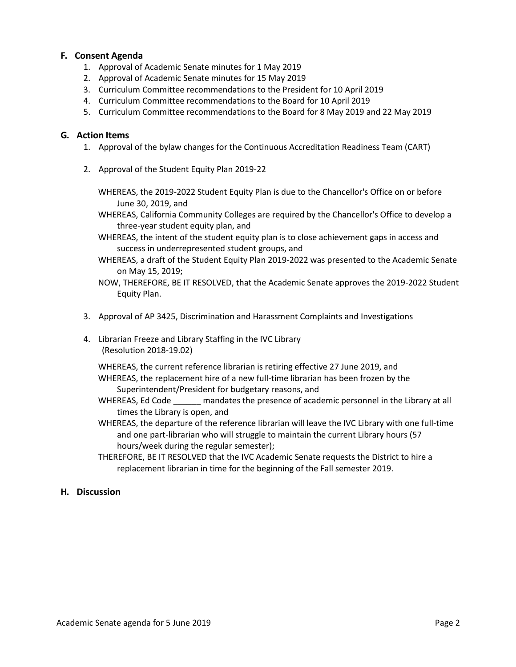#### **F. Consent Agenda**

- 1. Approval of Academic Senate minutes for 1 May 2019
- 2. Approval of Academic Senate minutes for 15 May 2019
- 3. Curriculum Committee recommendations to the President for 10 April 2019
- 4. Curriculum Committee recommendations to the Board for 10 April 2019
- 5. Curriculum Committee recommendations to the Board for 8 May 2019 and 22 May 2019

#### **G. Action Items**

- 1. Approval of the bylaw changes for the Continuous Accreditation Readiness Team (CART)
- 2. Approval of the Student Equity Plan 2019-22
	- WHEREAS, the 2019-2022 Student Equity Plan is due to the Chancellor's Office on or before June 30, 2019, and

WHEREAS, California Community Colleges are required by the Chancellor's Office to develop a three-year student equity plan, and

- WHEREAS, the intent of the student equity plan is to close achievement gaps in access and success in underrepresented student groups, and
- WHEREAS, a draft of the Student Equity Plan 2019-2022 was presented to the Academic Senate on May 15, 2019;
- NOW, THEREFORE, BE IT RESOLVED, that the Academic Senate approves the 2019-2022 Student Equity Plan.
- 3. Approval of AP 3425, Discrimination and Harassment Complaints and Investigations
- 4. Librarian Freeze and Library Staffing in the IVC Library (Resolution 2018-19.02)

WHEREAS, the current reference librarian is retiring effective 27 June 2019, and WHEREAS, the replacement hire of a new full-time librarian has been frozen by the Superintendent/President for budgetary reasons, and

- WHEREAS, Ed Code \_\_\_\_\_\_ mandates the presence of academic personnel in the Library at all times the Library is open, and
- WHEREAS, the departure of the reference librarian will leave the IVC Library with one full-time and one part-librarian who will struggle to maintain the current Library hours (57 hours/week during the regular semester);
- THEREFORE, BE IT RESOLVED that the IVC Academic Senate requests the District to hire a replacement librarian in time for the beginning of the Fall semester 2019.

#### **H. Discussion**